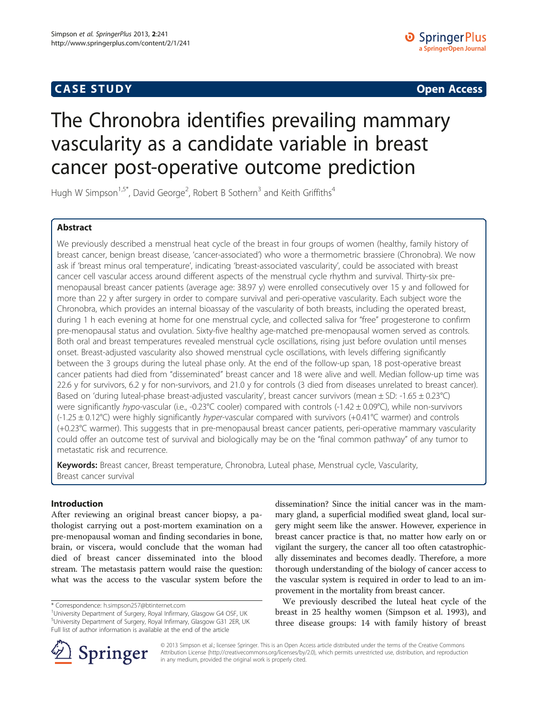# **CASE STUDY CASE STUDY Open Access**

# The Chronobra identifies prevailing mammary vascularity as a candidate variable in breast cancer post-operative outcome prediction

Hugh W Simpson<sup>1,5\*</sup>, David George<sup>2</sup>, Robert B Sothern<sup>3</sup> and Keith Griffiths<sup>4</sup>

# Abstract

We previously described a menstrual heat cycle of the breast in four groups of women (healthy, family history of breast cancer, benign breast disease, 'cancer-associated') who wore a thermometric brassiere (Chronobra). We now ask if 'breast minus oral temperature', indicating 'breast-associated vascularity', could be associated with breast cancer cell vascular access around different aspects of the menstrual cycle rhythm and survival. Thirty-six premenopausal breast cancer patients (average age: 38.97 y) were enrolled consecutively over 15 y and followed for more than 22 y after surgery in order to compare survival and peri-operative vascularity. Each subject wore the Chronobra, which provides an internal bioassay of the vascularity of both breasts, including the operated breast, during 1 h each evening at home for one menstrual cycle, and collected saliva for "free" progesterone to confirm pre-menopausal status and ovulation. Sixty-five healthy age-matched pre-menopausal women served as controls. Both oral and breast temperatures revealed menstrual cycle oscillations, rising just before ovulation until menses onset. Breast-adjusted vascularity also showed menstrual cycle oscillations, with levels differing significantly between the 3 groups during the luteal phase only. At the end of the follow-up span, 18 post-operative breast cancer patients had died from "disseminated" breast cancer and 18 were alive and well. Median follow-up time was 22.6 y for survivors, 6.2 y for non-survivors, and 21.0 y for controls (3 died from diseases unrelated to breast cancer). Based on 'during luteal-phase breast-adjusted vascularity', breast cancer survivors (mean ± SD: -1.65 ± 0.23°C) were significantly hypo-vascular (i.e., -0.23°C cooler) compared with controls (-1.42  $\pm$  0.09°C), while non-survivors (-1.25 ± 0.12°C) were highly significantly hyper-vascular compared with survivors (+0.41°C warmer) and controls (+0.23°C warmer). This suggests that in pre-menopausal breast cancer patients, peri-operative mammary vascularity could offer an outcome test of survival and biologically may be on the "final common pathway" of any tumor to metastatic risk and recurrence.

Keywords: Breast cancer, Breast temperature, Chronobra, Luteal phase, Menstrual cycle, Vascularity, Breast cancer survival

# Introduction

After reviewing an original breast cancer biopsy, a pathologist carrying out a post-mortem examination on a pre-menopausal woman and finding secondaries in bone, brain, or viscera, would conclude that the woman had died of breast cancer disseminated into the blood stream. The metastasis pattern would raise the question: what was the access to the vascular system before the

dissemination? Since the initial cancer was in the mammary gland, a superficial modified sweat gland, local surgery might seem like the answer. However, experience in breast cancer practice is that, no matter how early on or vigilant the surgery, the cancer all too often catastrophically disseminates and becomes deadly. Therefore, a more thorough understanding of the biology of cancer access to the vascular system is required in order to lead to an improvement in the mortality from breast cancer.

We previously described the luteal heat cycle of the breast in 25 healthy women (Simpson et al. [1993](#page-9-0)), and three disease groups: 14 with family history of breast



© 2013 Simpson et al.; licensee Springer. This is an Open Access article distributed under the terms of the Creative Commons Attribution License [\(http://creativecommons.org/licenses/by/2.0\)](http://creativecommons.org/licenses/by/2.0), which permits unrestricted use, distribution, and reproduction in any medium, provided the original work is properly cited.

<sup>\*</sup> Correspondence: [h.simpson257@btinternet.com](mailto:h.simpson257@btinternet.com) <sup>1</sup>

<sup>&</sup>lt;sup>1</sup>University Department of Surgery, Royal Infirmary, Glasgow G4 OSF, UK 5 University Department of Surgery, Royal Infirmary, Glasgow G31 2ER, UK Full list of author information is available at the end of the article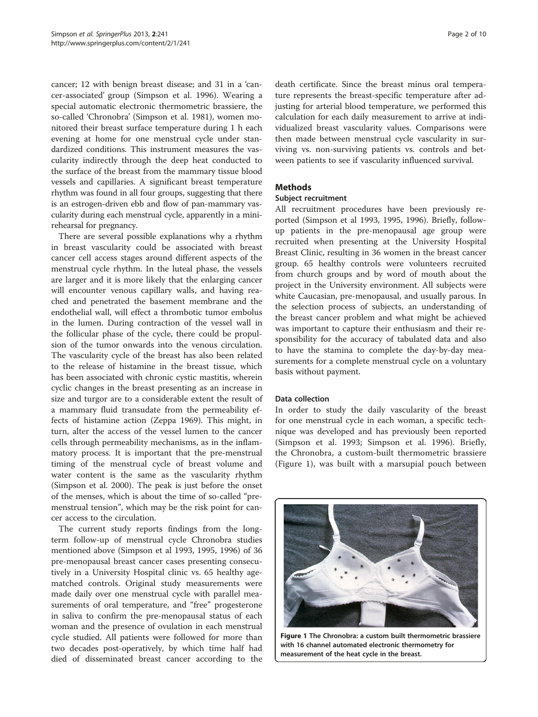<span id="page-1-0"></span>cancer; 12 with benign breast disease; and 31 in a 'cancer-associated' group (Simpson et al. [1996\)](#page-9-0). Wearing a special automatic electronic thermometric brassiere, the so-called 'Chronobra' (Simpson et al. [1981\)](#page-9-0), women monitored their breast surface temperature during 1 h each evening at home for one menstrual cycle under standardized conditions. This instrument measures the vascularity indirectly through the deep heat conducted to the surface of the breast from the mammary tissue blood vessels and capillaries. A significant breast temperature rhythm was found in all four groups, suggesting that there is an estrogen-driven ebb and flow of pan-mammary vascularity during each menstrual cycle, apparently in a minirehearsal for pregnancy.

There are several possible explanations why a rhythm in breast vascularity could be associated with breast cancer cell access stages around different aspects of the menstrual cycle rhythm. In the luteal phase, the vessels are larger and it is more likely that the enlarging cancer will encounter venous capillary walls, and having reached and penetrated the basement membrane and the endothelial wall, will effect a thrombotic tumor embolus in the lumen. During contraction of the vessel wall in the follicular phase of the cycle, there could be propulsion of the tumor onwards into the venous circulation. The vascularity cycle of the breast has also been related to the release of histamine in the breast tissue, which has been associated with chronic cystic mastitis, wherein cyclic changes in the breast presenting as an increase in size and turgor are to a considerable extent the result of a mammary fluid transudate from the permeability effects of histamine action (Zeppa [1969](#page-9-0)). This might, in turn, alter the access of the vessel lumen to the cancer cells through permeability mechanisms, as in the inflammatory process. It is important that the pre-menstrual timing of the menstrual cycle of breast volume and water content is the same as the vascularity rhythm (Simpson et al. [2000\)](#page-9-0). The peak is just before the onset of the menses, which is about the time of so-called "premenstrual tension", which may be the risk point for cancer access to the circulation.

The current study reports findings from the longterm follow-up of menstrual cycle Chronobra studies mentioned above (Simpson et al [1993, 1995, 1996](#page-9-0)) of 36 pre-menopausal breast cancer cases presenting consecutively in a University Hospital clinic vs. 65 healthy agematched controls. Original study measurements were made daily over one menstrual cycle with parallel measurements of oral temperature, and "free" progesterone in saliva to confirm the pre-menopausal status of each woman and the presence of ovulation in each menstrual cycle studied. All patients were followed for more than two decades post-operatively, by which time half had died of disseminated breast cancer according to the

death certificate. Since the breast minus oral temperature represents the breast-specific temperature after adjusting for arterial blood temperature, we performed this calculation for each daily measurement to arrive at individualized breast vascularity values. Comparisons were then made between menstrual cycle vascularity in surviving vs. non-surviving patients vs. controls and between patients to see if vascularity influenced survival.

# **Methods**

#### Subject recruitment

All recruitment procedures have been previously reported (Simpson et al [1993](#page-9-0), [1995, 1996](#page-9-0)). Briefly, followup patients in the pre-menopausal age group were recruited when presenting at the University Hospital Breast Clinic, resulting in 36 women in the breast cancer group. 65 healthy controls were volunteers recruited from church groups and by word of mouth about the project in the University environment. All subjects were white Caucasian, pre-menopausal, and usually parous. In the selection process of subjects, an understanding of the breast cancer problem and what might be achieved was important to capture their enthusiasm and their responsibility for the accuracy of tabulated data and also to have the stamina to complete the day-by-day measurements for a complete menstrual cycle on a voluntary basis without payment.

#### Data collection

In order to study the daily vascularity of the breast for one menstrual cycle in each woman, a specific technique was developed and has previously been reported (Simpson et al. [1993;](#page-9-0) Simpson et al. [1996](#page-9-0)). Briefly, the Chronobra, a custom-built thermometric brassiere (Figure 1), was built with a marsupial pouch between



Figure 1 The Chronobra: a custom built thermometric brassiere with 16 channel automated electronic thermometry for measurement of the heat cycle in the breast.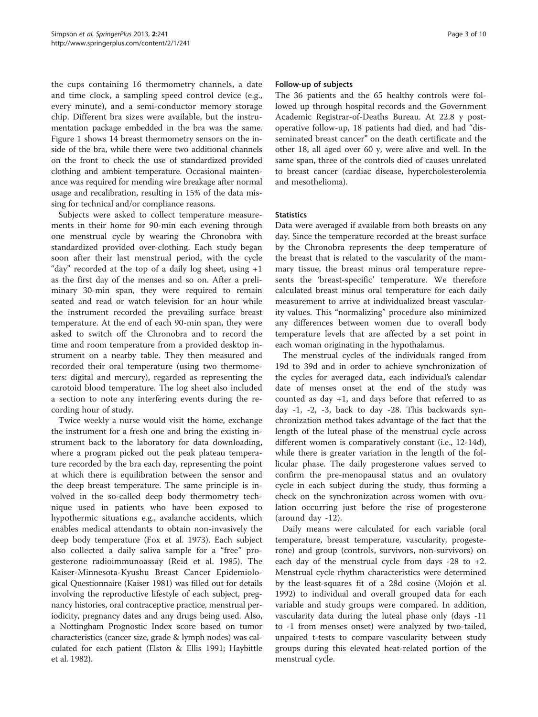the cups containing 16 thermometry channels, a date and time clock, a sampling speed control device (e.g., every minute), and a semi-conductor memory storage chip. Different bra sizes were available, but the instrumentation package embedded in the bra was the same. Figure [1](#page-1-0) shows 14 breast thermometry sensors on the inside of the bra, while there were two additional channels on the front to check the use of standardized provided clothing and ambient temperature. Occasional maintenance was required for mending wire breakage after normal usage and recalibration, resulting in 15% of the data missing for technical and/or compliance reasons.

Subjects were asked to collect temperature measurements in their home for 90-min each evening through one menstrual cycle by wearing the Chronobra with standardized provided over-clothing. Each study began soon after their last menstrual period, with the cycle "day" recorded at the top of a daily log sheet, using  $+1$ as the first day of the menses and so on. After a preliminary 30-min span, they were required to remain seated and read or watch television for an hour while the instrument recorded the prevailing surface breast temperature. At the end of each 90-min span, they were asked to switch off the Chronobra and to record the time and room temperature from a provided desktop instrument on a nearby table. They then measured and recorded their oral temperature (using two thermometers: digital and mercury), regarded as representing the carotoid blood temperature. The log sheet also included a section to note any interfering events during the recording hour of study.

Twice weekly a nurse would visit the home, exchange the instrument for a fresh one and bring the existing instrument back to the laboratory for data downloading, where a program picked out the peak plateau temperature recorded by the bra each day, representing the point at which there is equilibration between the sensor and the deep breast temperature. The same principle is involved in the so-called deep body thermometry technique used in patients who have been exposed to hypothermic situations e.g., avalanche accidents, which enables medical attendants to obtain non-invasively the deep body temperature (Fox et al. [1973\)](#page-9-0). Each subject also collected a daily saliva sample for a "free" progesterone radioimmunoassay (Reid et al. [1985\)](#page-9-0). The Kaiser-Minnesota-Kyushu Breast Cancer Epidemiological Questionnaire (Kaiser [1981\)](#page-9-0) was filled out for details involving the reproductive lifestyle of each subject, pregnancy histories, oral contraceptive practice, menstrual periodicity, pregnancy dates and any drugs being used. Also, a Nottingham Prognostic Index score based on tumor characteristics (cancer size, grade & lymph nodes) was calculated for each patient (Elston & Ellis [1991](#page-9-0); Haybittle et al. [1982](#page-9-0)).

#### Follow-up of subjects

The 36 patients and the 65 healthy controls were followed up through hospital records and the Government Academic Registrar-of-Deaths Bureau. At 22.8 y postoperative follow-up, 18 patients had died, and had "disseminated breast cancer" on the death certificate and the other 18, all aged over 60 y, were alive and well. In the same span, three of the controls died of causes unrelated to breast cancer (cardiac disease, hypercholesterolemia and mesothelioma).

#### **Statistics**

Data were averaged if available from both breasts on any day. Since the temperature recorded at the breast surface by the Chronobra represents the deep temperature of the breast that is related to the vascularity of the mammary tissue, the breast minus oral temperature represents the 'breast-specific' temperature. We therefore calculated breast minus oral temperature for each daily measurement to arrive at individualized breast vascularity values. This "normalizing" procedure also minimized any differences between women due to overall body temperature levels that are affected by a set point in each woman originating in the hypothalamus.

The menstrual cycles of the individuals ranged from 19d to 39d and in order to achieve synchronization of the cycles for averaged data, each individual's calendar date of menses onset at the end of the study was counted as day  $+1$ , and days before that referred to as day -1, -2, -3, back to day -28. This backwards synchronization method takes advantage of the fact that the length of the luteal phase of the menstrual cycle across different women is comparatively constant (i.e., 12-14d), while there is greater variation in the length of the follicular phase. The daily progesterone values served to confirm the pre-menopausal status and an ovulatory cycle in each subject during the study, thus forming a check on the synchronization across women with ovulation occurring just before the rise of progesterone (around day -12).

Daily means were calculated for each variable (oral temperature, breast temperature, vascularity, progesterone) and group (controls, survivors, non-survivors) on each day of the menstrual cycle from days  $-28$  to  $+2$ . Menstrual cycle rhythm characteristics were determined by the least-squares fit of a 28d cosine (Mojón et al. [1992](#page-9-0)) to individual and overall grouped data for each variable and study groups were compared. In addition, vascularity data during the luteal phase only (days -11 to -1 from menses onset) were analyzed by two-tailed, unpaired t-tests to compare vascularity between study groups during this elevated heat-related portion of the menstrual cycle.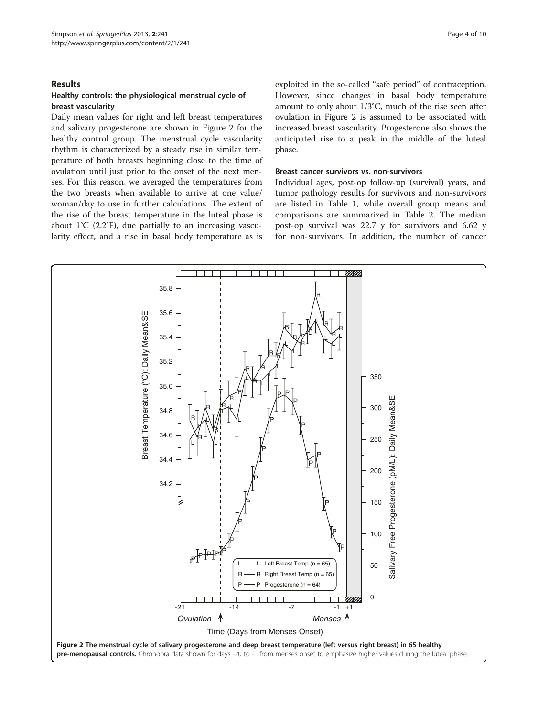#### <span id="page-3-0"></span>Results

# Healthy controls: the physiological menstrual cycle of breast vascularity

Daily mean values for right and left breast temperatures and salivary progesterone are shown in Figure 2 for the healthy control group. The menstrual cycle vascularity rhythm is characterized by a steady rise in similar temperature of both breasts beginning close to the time of ovulation until just prior to the onset of the next menses. For this reason, we averaged the temperatures from the two breasts when available to arrive at one value/ woman/day to use in further calculations. The extent of the rise of the breast temperature in the luteal phase is about 1°C (2.2°F), due partially to an increasing vascularity effect, and a rise in basal body temperature as is

exploited in the so-called "safe period" of contraception. However, since changes in basal body temperature amount to only about 1/3°C, much of the rise seen after ovulation in Figure 2 is assumed to be associated with increased breast vascularity. Progesterone also shows the anticipated rise to a peak in the middle of the luteal phase.

#### Breast cancer survivors vs. non-survivors

Individual ages, post-op follow-up (survival) years, and tumor pathology results for survivors and non-survivors are listed in Table [1](#page-4-0), while overall group means and comparisons are summarized in Table [2.](#page-4-0) The median post-op survival was 22.7 y for survivors and 6.62 y for non-survivors. In addition, the number of cancer

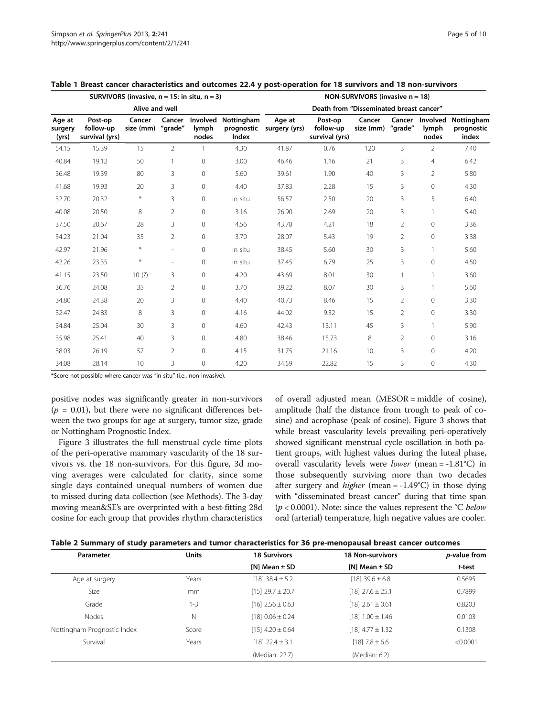| SURVIVORS (invasive, $n = 15$ : in situ, $n = 3$ )<br>Alive and well |       |        |                | NON-SURVIVORS (invasive $n = 18$ )<br>Death from "Disseminated breast cancer" |         |       |       |     |                            |                                        |                     |
|----------------------------------------------------------------------|-------|--------|----------------|-------------------------------------------------------------------------------|---------|-------|-------|-----|----------------------------|----------------------------------------|---------------------|
|                                                                      |       |        |                |                                                                               |         |       |       |     | Age at<br>surgery<br>(yrs) | Post-op<br>follow-up<br>survival (yrs) | Cancer<br>size (mm) |
| 54.15                                                                | 15.39 | 15     | $\overline{2}$ |                                                                               | 4.30    | 41.87 | 0.76  | 120 | 3                          | $\overline{2}$                         | 7.40                |
| 40.84                                                                | 19.12 | 50     | $\overline{1}$ | $\mathbf 0$                                                                   | 3.00    | 46.46 | 1.16  | 21  | 3                          | 4                                      | 6.42                |
| 36.48                                                                | 19.39 | 80     | 3              | $\mathbf{0}$                                                                  | 5.60    | 39.61 | 1.90  | 40  | 3                          | $\overline{2}$                         | 5.80                |
| 41.68                                                                | 19.93 | 20     | 3              | 0                                                                             | 4.40    | 37.83 | 2.28  | 15  | 3                          | 0                                      | 4.30                |
| 32.70                                                                | 20.32 | $\ast$ | 3              | 0                                                                             | In situ | 56.57 | 2.50  | 20  | 3                          | 5                                      | 6.40                |
| 40.08                                                                | 20.50 | 8      | $\overline{2}$ | $\mathbf{0}$                                                                  | 3.16    | 26.90 | 2.69  | 20  | 3                          |                                        | 5.40                |
| 37.50                                                                | 20.67 | 28     | 3              | $\circ$                                                                       | 4.56    | 43.78 | 4.21  | 18  | 2                          | 0                                      | 3.36                |
| 34.23                                                                | 21.04 | 35     | $\overline{2}$ | $\circ$                                                                       | 3.70    | 28.07 | 5.43  | 19  | 2                          | 0                                      | 3.38                |
| 42.97                                                                | 21.96 | $\ast$ | ٠              | $\mathbf 0$                                                                   | In situ | 38.45 | 5.60  | 30  | 3                          |                                        | 5.60                |
| 42.26                                                                | 23.35 | $\ast$ | ٠              | $\mathbf 0$                                                                   | In situ | 37.45 | 6.79  | 25  | 3                          | 0                                      | 4.50                |
| 41.15                                                                | 23.50 | 10(?)  | 3              | $\circ$                                                                       | 4.20    | 43.69 | 8.01  | 30  |                            |                                        | 3.60                |
| 36.76                                                                | 24.08 | 35     | $\overline{2}$ | $\mathbf{0}$                                                                  | 3.70    | 39.22 | 8.07  | 30  | 3                          |                                        | 5.60                |
| 34.80                                                                | 24.38 | 20     | 3              | $\mathbf{0}$                                                                  | 4.40    | 40.73 | 8.46  | 15  | 2                          | 0                                      | 3.30                |
| 32.47                                                                | 24.83 | 8      | 3              | 0                                                                             | 4.16    | 44.02 | 9.32  | 15  | 2                          | 0                                      | 3.30                |
| 34.84                                                                | 25.04 | 30     | 3              | $\circ$                                                                       | 4.60    | 42.43 | 13.11 | 45  | 3                          |                                        | 5.90                |
| 35.98                                                                | 25.41 | 40     | 3              | $\mathbf{0}$                                                                  | 4.80    | 38.46 | 15.73 | 8   | $\overline{2}$             | 0                                      | 3.16                |
| 38.03                                                                | 26.19 | 57     | $\overline{2}$ | $\mathbf 0$                                                                   | 4.15    | 31.75 | 21.16 | 10  | 3                          | 0                                      | 4.20                |
| 34.08                                                                | 28.14 | 10     | 3              | $\circ$                                                                       | 4.20    | 34.59 | 22.82 | 15  | 3                          | 0                                      | 4.30                |

<span id="page-4-0"></span>Table 1 Breast cancer characteristics and outcomes 22.4 y post-operation for 18 survivors and 18 non-survivors

\*Score not possible where cancer was "in situ" (i.e., non-invasive).

positive nodes was significantly greater in non-survivors  $(p = 0.01)$ , but there were no significant differences between the two groups for age at surgery, tumor size, grade or Nottingham Prognostic Index.

Figure [3](#page-5-0) illustrates the full menstrual cycle time plots of the peri-operative mammary vascularity of the 18 survivors vs. the 18 non-survivors. For this figure, 3d moving averages were calculated for clarity, since some single days contained unequal numbers of women due to missed during data collection (see Methods). The 3-day moving mean&SE's are overprinted with a best-fitting 28d cosine for each group that provides rhythm characteristics

of overall adjusted mean (MESOR = middle of cosine), amplitude (half the distance from trough to peak of cosine) and acrophase (peak of cosine). Figure [3](#page-5-0) shows that while breast vascularity levels prevailing peri-operatively showed significant menstrual cycle oscillation in both patient groups, with highest values during the luteal phase, overall vascularity levels were lower (mean = -1.81°C) in those subsequently surviving more than two decades after surgery and *higher* (mean =  $-1.49^{\circ}$ C) in those dying with "disseminated breast cancer" during that time span ( $p$  < 0.0001). Note: since the values represent the °C *below* oral (arterial) temperature, high negative values are cooler.

| Table 2 Summary of study parameters and tumor characteristics for 36 pre-menopausal breast cancer outcomes |  |
|------------------------------------------------------------------------------------------------------------|--|
|------------------------------------------------------------------------------------------------------------|--|

| Parameter                   | <b>Units</b> | <b>18 Survivors</b>    | <b>18 Non-survivors</b> | <i>p</i> -value from |  |
|-----------------------------|--------------|------------------------|-------------------------|----------------------|--|
|                             |              | [N] Mean $\pm$ SD      | [N] Mean $\pm$ SD       | t-test               |  |
| Age at surgery              | Years        | $[18]$ 38.4 $\pm$ 5.2  | $[18]$ 39.6 ± 6.8       | 0.5695               |  |
| Size                        | mm           | $[15]$ 29.7 ± 20.7     | $[18]$ 27.6 ± 25.1      | 0.7899               |  |
| Grade                       | $1 - 3$      | $[16]$ 2.56 ± 0.63     | $[18]$ 2.61 $\pm$ 0.61  | 0.8203               |  |
| <b>Nodes</b>                | N            | $[18]$ 0.06 $\pm$ 0.24 | $[18]$ 1.00 $\pm$ 1.46  | 0.0103               |  |
| Nottingham Prognostic Index | Score        | $[15]$ 4.20 ± 0.64     | $[18]$ 4.77 $\pm$ 1.32  | 0.1308               |  |
| Survival                    | Years        | $[18]$ 22.4 $\pm$ 3.1  | $[18]$ 7.8 ± 6.6        | < 0.0001             |  |
|                             |              | (Median: 22.7)         | (Median: 6.2)           |                      |  |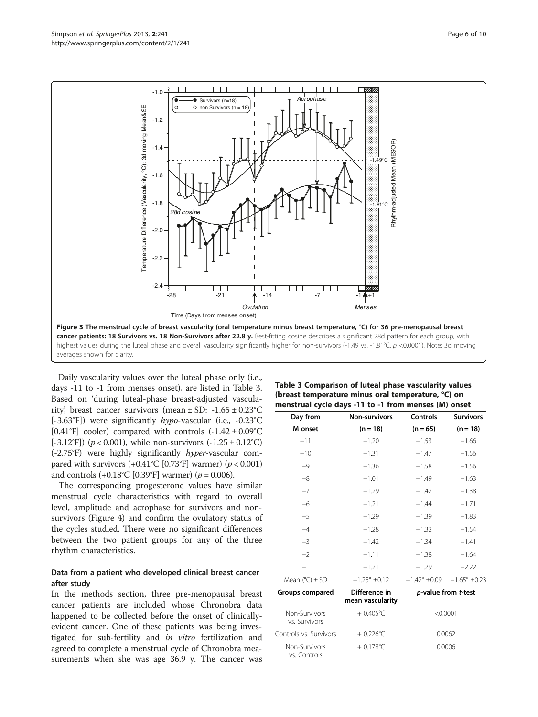<span id="page-5-0"></span>

Daily vascularity values over the luteal phase only (i.e., days -11 to -1 from menses onset), are listed in Table 3. Based on 'during luteal-phase breast-adjusted vascularity', breast cancer survivors (mean ± SD: -1.65 ± 0.23°C [-3.63°F]) were significantly hypo-vascular (i.e., -0.23°C [0.41°F] cooler) compared with controls  $(-1.42 \pm 0.09^{\circ}C)$ [-3.12°F]) ( $p < 0.001$ ), while non-survivors (-1.25 ± 0.12°C) (-2.75°F) were highly significantly hyper-vascular compared with survivors  $(+0.41^{\circ}C$  [0.73°F] warmer) ( $p < 0.001$ ) and controls  $(+0.18^{\circ}C$  [0.39°F] warmer) ( $p = 0.006$ ).

The corresponding progesterone values have similar menstrual cycle characteristics with regard to overall level, amplitude and acrophase for survivors and nonsurvivors (Figure [4](#page-6-0)) and confirm the ovulatory status of the cycles studied. There were no significant differences between the two patient groups for any of the three rhythm characteristics.

#### Data from a patient who developed clinical breast cancer after study

In the methods section, three pre-menopausal breast cancer patients are included whose Chronobra data happened to be collected before the onset of clinicallyevident cancer. One of these patients was being investigated for sub-fertility and in vitro fertilization and agreed to complete a menstrual cycle of Chronobra measurements when she was age 36.9 y. The cancer was

| menstrual cycle days - i i to - i from menses (M) onset |                                   |                                             |                  |  |
|---------------------------------------------------------|-----------------------------------|---------------------------------------------|------------------|--|
| Day from                                                | <b>Non-survivors</b>              | Controls                                    | <b>Survivors</b> |  |
| M onset                                                 | $(n = 18)$                        | $(n = 65)$                                  | $(n = 18)$       |  |
| $-11$                                                   | $-1.20$                           | $-1.53$                                     | $-1.66$          |  |
| $-10$                                                   | $-1.31$                           | $-1.47$                                     | $-1.56$          |  |
| $-9$                                                    | $-1.36$                           | $-1.58$                                     | $-1.56$          |  |
| $-8$                                                    | $-1.01$                           | $-1.49$                                     | $-1.63$          |  |
| $-7$                                                    | $-1.29$                           | $-1.42$                                     | $-1.38$          |  |
| $-6$                                                    | $-1.21$                           | $-1.44$                                     | $-1.71$          |  |
| $-5$                                                    | $-1.29$                           | $-1.39$                                     | $-1.83$          |  |
| $-4$                                                    | $-1.28$                           | $-1.32$                                     | $-1.54$          |  |
| $-3$                                                    | $-1.42$                           | $-1.34$                                     | $-1.41$          |  |
| $-2$                                                    | $-1.11$                           | $-1.38$                                     | $-1.64$          |  |
| $-1$                                                    | $-1.21$                           | $-1.29$                                     | $-2.22$          |  |
| Mean $(^{\circ}C) \pm SD$                               | $-1.25^{\circ}$ ±0.12             | $-1.42^{\circ}$ ±0.09 $-1.65^{\circ}$ ±0.23 |                  |  |
| Groups compared                                         | Difference in<br>mean vascularity | p-value from t-test                         |                  |  |
| Non-Survivors<br>vs. Survivors                          | $+0.405^{\circ}$ C                | < 0.0001                                    |                  |  |
| Controls vs. Survivors                                  | $+0.226^{\circ}$ C                | 0.0062                                      |                  |  |
| Non-Survivors<br>vs. Controls                           | $+0.178^{\circ}$ C                | 0.0006                                      |                  |  |

| Table 3 Comparison of luteal phase vascularity values |
|-------------------------------------------------------|
| (breast temperature minus oral temperature, °C) on    |
| menstrual cycle days -11 to -1 from menses (M) onset  |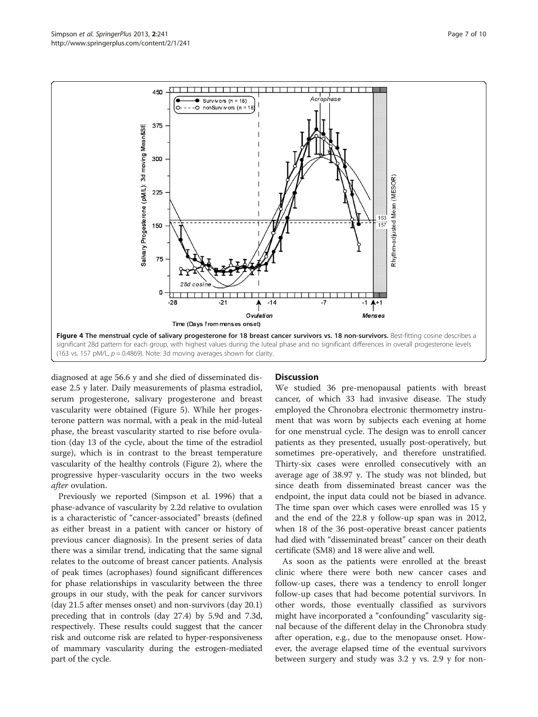<span id="page-6-0"></span>

diagnosed at age 56.6 y and she died of disseminated disease 2.5 y later. Daily measurements of plasma estradiol, serum progesterone, salivary progesterone and breast vascularity were obtained (Figure [5](#page-7-0)). While her progesterone pattern was normal, with a peak in the mid-luteal phase, the breast vascularity started to rise before ovulation (day 13 of the cycle, about the time of the estradiol surge), which is in contrast to the breast temperature vascularity of the healthy controls (Figure [2](#page-3-0)), where the progressive hyper-vascularity occurs in the two weeks after ovulation.

Previously we reported (Simpson et al. [1996](#page-9-0)) that a phase-advance of vascularity by 2.2d relative to ovulation is a characteristic of "cancer-associated" breasts (defined as either breast in a patient with cancer or history of previous cancer diagnosis). In the present series of data there was a similar trend, indicating that the same signal relates to the outcome of breast cancer patients. Analysis of peak times (acrophases) found significant differences for phase relationships in vascularity between the three groups in our study, with the peak for cancer survivors (day 21.5 after menses onset) and non-survivors (day 20.1) preceding that in controls (day 27.4) by 5.9d and 7.3d, respectively. These results could suggest that the cancer risk and outcome risk are related to hyper-responsiveness of mammary vascularity during the estrogen-mediated part of the cycle.

# **Discussion**

We studied 36 pre-menopausal patients with breast cancer, of which 33 had invasive disease. The study employed the Chronobra electronic thermometry instrument that was worn by subjects each evening at home for one menstrual cycle. The design was to enroll cancer patients as they presented, usually post-operatively, but sometimes pre-operatively, and therefore unstratified. Thirty-six cases were enrolled consecutively with an average age of 38.97 y. The study was not blinded, but since death from disseminated breast cancer was the endpoint, the input data could not be biased in advance. The time span over which cases were enrolled was 15 y and the end of the 22.8 y follow-up span was in 2012, when 18 of the 36 post-operative breast cancer patients had died with "disseminated breast" cancer on their death certificate (SM8) and 18 were alive and well.

As soon as the patients were enrolled at the breast clinic where there were both new cancer cases and follow-up cases, there was a tendency to enroll longer follow-up cases that had become potential survivors. In other words, those eventually classified as survivors might have incorporated a "confounding" vascularity signal because of the different delay in the Chronobra study after operation, e.g., due to the menopause onset. However, the average elapsed time of the eventual survivors between surgery and study was 3.2 y vs. 2.9 y for non-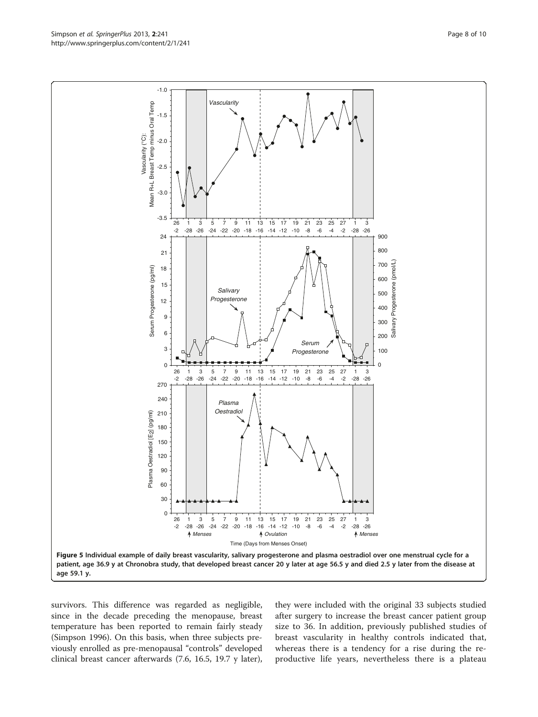survivors. This difference was regarded as negligible, since in the decade preceding the menopause, breast temperature has been reported to remain fairly steady (Simpson [1996](#page-9-0)). On this basis, when three subjects previously enrolled as pre-menopausal "controls" developed clinical breast cancer afterwards (7.6, 16.5, 19.7 y later),

they were included with the original 33 subjects studied after surgery to increase the breast cancer patient group size to 36. In addition, previously published studies of breast vascularity in healthy controls indicated that, whereas there is a tendency for a rise during the reproductive life years, nevertheless there is a plateau

<span id="page-7-0"></span>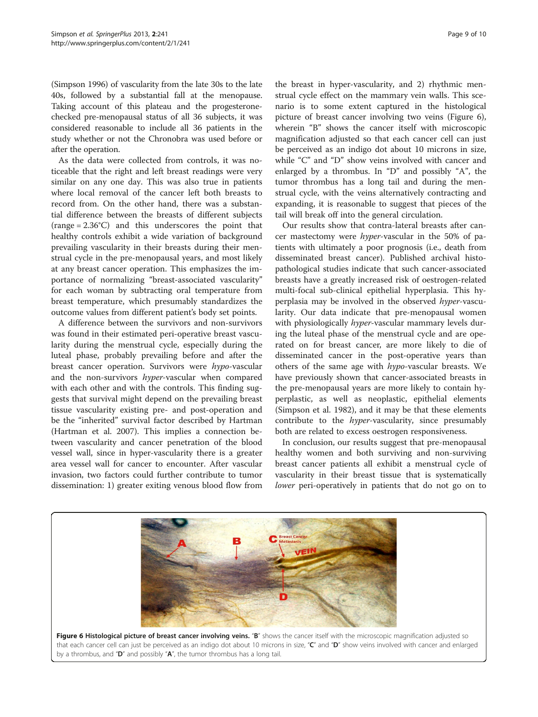(Simpson [1996\)](#page-9-0) of vascularity from the late 30s to the late 40s, followed by a substantial fall at the menopause. Taking account of this plateau and the progesteronechecked pre-menopausal status of all 36 subjects, it was considered reasonable to include all 36 patients in the study whether or not the Chronobra was used before or after the operation.

As the data were collected from controls, it was noticeable that the right and left breast readings were very similar on any one day. This was also true in patients where local removal of the cancer left both breasts to record from. On the other hand, there was a substantial difference between the breasts of different subjects (range = 2.36°C) and this underscores the point that healthy controls exhibit a wide variation of background prevailing vascularity in their breasts during their menstrual cycle in the pre-menopausal years, and most likely at any breast cancer operation. This emphasizes the importance of normalizing "breast-associated vascularity" for each woman by subtracting oral temperature from breast temperature, which presumably standardizes the outcome values from different patient's body set points.

A difference between the survivors and non-survivors was found in their estimated peri-operative breast vascularity during the menstrual cycle, especially during the luteal phase, probably prevailing before and after the breast cancer operation. Survivors were hypo-vascular and the non-survivors hyper-vascular when compared with each other and with the controls. This finding suggests that survival might depend on the prevailing breast tissue vascularity existing pre- and post-operation and be the "inherited" survival factor described by Hartman (Hartman et al. [2007\)](#page-9-0). This implies a connection between vascularity and cancer penetration of the blood vessel wall, since in hyper-vascularity there is a greater area vessel wall for cancer to encounter. After vascular invasion, two factors could further contribute to tumor dissemination: 1) greater exiting venous blood flow from the breast in hyper-vascularity, and 2) rhythmic menstrual cycle effect on the mammary vein walls. This scenario is to some extent captured in the histological picture of breast cancer involving two veins (Figure 6), wherein "B" shows the cancer itself with microscopic magnification adjusted so that each cancer cell can just be perceived as an indigo dot about 10 microns in size, while "C" and "D" show veins involved with cancer and enlarged by a thrombus. In "D" and possibly "A", the tumor thrombus has a long tail and during the menstrual cycle, with the veins alternatively contracting and expanding, it is reasonable to suggest that pieces of the tail will break off into the general circulation.

Our results show that contra-lateral breasts after cancer mastectomy were hyper-vascular in the 50% of patients with ultimately a poor prognosis (i.e., death from disseminated breast cancer). Published archival histopathological studies indicate that such cancer-associated breasts have a greatly increased risk of oestrogen-related multi-focal sub-clinical epithelial hyperplasia. This hyperplasia may be involved in the observed hyper-vascularity. Our data indicate that pre-menopausal women with physiologically hyper-vascular mammary levels during the luteal phase of the menstrual cycle and are operated on for breast cancer, are more likely to die of disseminated cancer in the post-operative years than others of the same age with hypo-vascular breasts. We have previously shown that cancer-associated breasts in the pre-menopausal years are more likely to contain hyperplastic, as well as neoplastic, epithelial elements (Simpson et al. [1982](#page-9-0)), and it may be that these elements contribute to the hyper-vascularity, since presumably both are related to excess oestrogen responsiveness.

In conclusion, our results suggest that pre-menopausal healthy women and both surviving and non-surviving breast cancer patients all exhibit a menstrual cycle of vascularity in their breast tissue that is systematically lower peri-operatively in patients that do not go on to